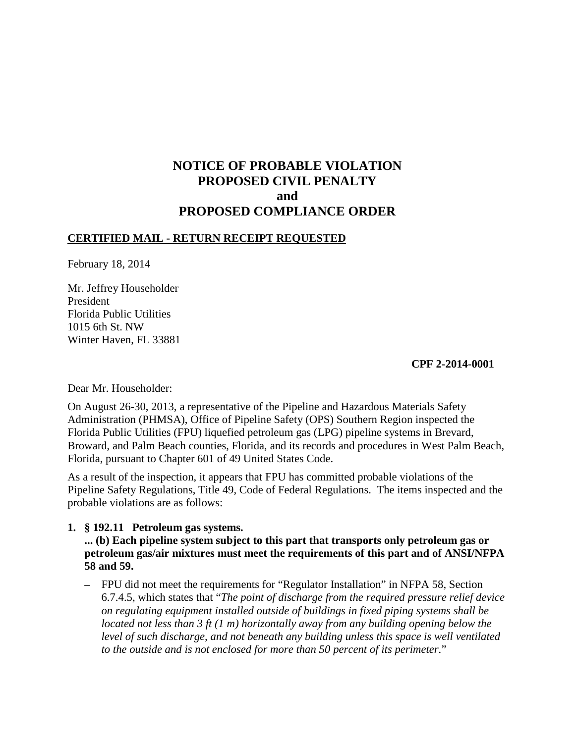# **NOTICE OF PROBABLE VIOLATION PROPOSED CIVIL PENALTY and PROPOSED COMPLIANCE ORDER**

# **CERTIFIED MAIL - RETURN RECEIPT REQUESTED**

February 18, 2014

Mr. Jeffrey Householder President Florida Public Utilities 1015 6th St. NW Winter Haven, FL 33881

#### **CPF 2-2014-0001**

Dear Mr. Householder:

On August 26-30, 2013, a representative of the Pipeline and Hazardous Materials Safety Administration (PHMSA), Office of Pipeline Safety (OPS) Southern Region inspected the Florida Public Utilities (FPU) liquefied petroleum gas (LPG) pipeline systems in Brevard, Broward, and Palm Beach counties, Florida, and its records and procedures in West Palm Beach, Florida, pursuant to Chapter 601 of 49 United States Code.

As a result of the inspection, it appears that FPU has committed probable violations of the Pipeline Safety Regulations, Title 49, Code of Federal Regulations. The items inspected and the probable violations are as follows:

### **1. § 192.11 Petroleum gas systems.**

**... (b) Each pipeline system subject to this part that transports only petroleum gas or petroleum gas/air mixtures must meet the requirements of this part and of ANSI/NFPA 58 and 59.** 

**–** FPU did not meet the requirements for "Regulator Installation" in NFPA 58, Section 6.7.4.5, which states that "*The point of discharge from the required pressure relief device on regulating equipment installed outside of buildings in fixed piping systems shall be located not less than 3 ft (1 m) horizontally away from any building opening below the level of such discharge, and not beneath any building unless this space is well ventilated to the outside and is not enclosed for more than 50 percent of its perimeter.*"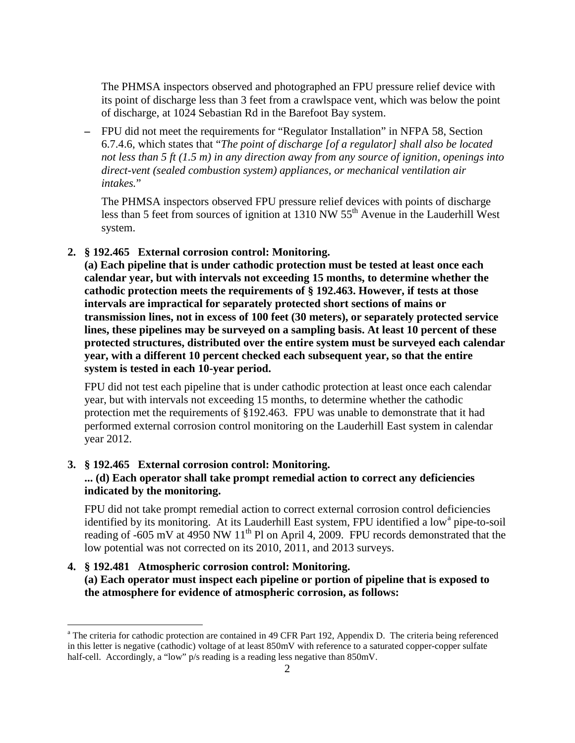The PHMSA inspectors observed and photographed an FPU pressure relief device with its point of discharge less than 3 feet from a crawlspace vent, which was below the point of discharge, at 1024 Sebastian Rd in the Barefoot Bay system.

**–** FPU did not meet the requirements for "Regulator Installation" in NFPA 58, Section 6.7.4.6, which states that "*The point of discharge [of a regulator] shall also be located not less than 5 ft (1.5 m) in any direction away from any source of ignition, openings into direct-vent (sealed combustion system) appliances, or mechanical ventilation air intakes.*"

The PHMSA inspectors observed FPU pressure relief devices with points of discharge less than 5 feet from sources of ignition at 1310 NW  $55<sup>th</sup>$  Avenue in the Lauderhill West system.

**2. § 192.465 External corrosion control: Monitoring.** 

**(a) Each pipeline that is under cathodic protection must be tested at least once each calendar year, but with intervals not exceeding 15 months, to determine whether the cathodic protection meets the requirements of § 192.463. However, if tests at those intervals are impractical for separately protected short sections of mains or transmission lines, not in excess of 100 feet (30 meters), or separately protected service lines, these pipelines may be surveyed on a sampling basis. At least 10 percent of these protected structures, distributed over the entire system must be surveyed each calendar year, with a different 10 percent checked each subsequent year, so that the entire system is tested in each 10-year period.**

FPU did not test each pipeline that is under cathodic protection at least once each calendar year, but with intervals not exceeding 15 months, to determine whether the cathodic protection met the requirements of §192.463. FPU was unable to demonstrate that it had performed external corrosion control monitoring on the Lauderhill East system in calendar year 2012.

#### **3. § 192.465 External corrosion control: Monitoring.**

 $\overline{a}$ 

# **... (d) Each operator shall take prompt remedial action to correct any deficiencies indicated by the monitoring.**

FPU did not take prompt remedial action to correct external corrosion control deficiencies identified by its monitoring. At its Lauderhill East system, FPU identified a low<sup>a</sup> pipe-to-soil reading of  $-605$  mV at  $4950$  NW  $11<sup>th</sup>$  Pl on April 4, 2009. FPU records demonstrated that the low potential was not corrected on its 2010, 2011, and 2013 surveys.

# **4. § 192.481 Atmospheric corrosion control: Monitoring. (a) Each operator must inspect each pipeline or portion of pipeline that is exposed to the atmosphere for evidence of atmospheric corrosion, as follows:**

<sup>&</sup>lt;sup>a</sup> The criteria for cathodic protection are contained in 49 CFR Part 192, Appendix D. The criteria being referenced in this letter is negative (cathodic) voltage of at least 850mV with reference to a saturated copper-copper sulfate half-cell. Accordingly, a "low" p/s reading is a reading less negative than 850mV.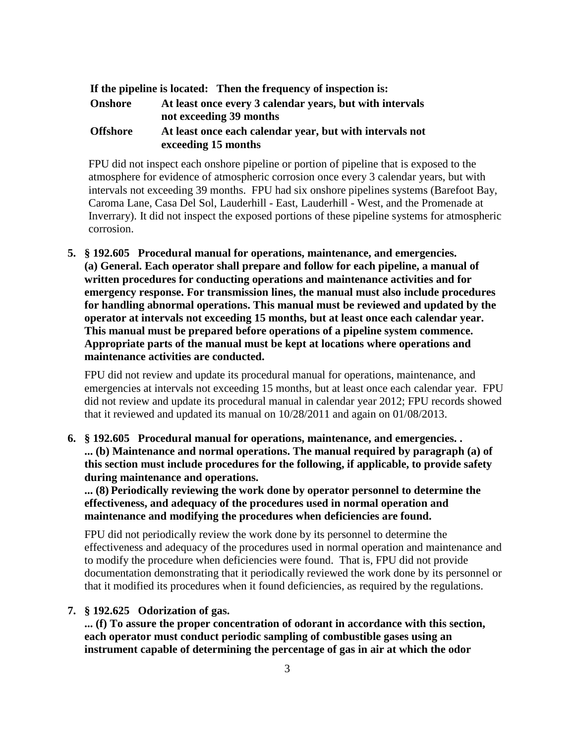|                 | If the pipeline is located: Then the frequency of inspection is:                    |
|-----------------|-------------------------------------------------------------------------------------|
| <b>Onshore</b>  | At least once every 3 calendar years, but with intervals<br>not exceeding 39 months |
| <b>Offshore</b> | At least once each calendar year, but with intervals not<br>exceeding 15 months     |

FPU did not inspect each onshore pipeline or portion of pipeline that is exposed to the atmosphere for evidence of atmospheric corrosion once every 3 calendar years, but with intervals not exceeding 39 months. FPU had six onshore pipelines systems (Barefoot Bay, Caroma Lane, Casa Del Sol, Lauderhill - East, Lauderhill - West, and the Promenade at Inverrary). It did not inspect the exposed portions of these pipeline systems for atmospheric corrosion.

**5. § 192.605 Procedural manual for operations, maintenance, and emergencies. (a) General. Each operator shall prepare and follow for each pipeline, a manual of written procedures for conducting operations and maintenance activities and for emergency response. For transmission lines, the manual must also include procedures for handling abnormal operations. This manual must be reviewed and updated by the operator at intervals not exceeding 15 months, but at least once each calendar year. This manual must be prepared before operations of a pipeline system commence. Appropriate parts of the manual must be kept at locations where operations and maintenance activities are conducted.**

FPU did not review and update its procedural manual for operations, maintenance, and emergencies at intervals not exceeding 15 months, but at least once each calendar year. FPU did not review and update its procedural manual in calendar year 2012; FPU records showed that it reviewed and updated its manual on 10/28/2011 and again on 01/08/2013.

**6. § 192.605 Procedural manual for operations, maintenance, and emergencies. . ... (b) Maintenance and normal operations. The manual required by paragraph (a) of this section must include procedures for the following, if applicable, to provide safety during maintenance and operations.**

**... (8) Periodically reviewing the work done by operator personnel to determine the effectiveness, and adequacy of the procedures used in normal operation and maintenance and modifying the procedures when deficiencies are found.**

FPU did not periodically review the work done by its personnel to determine the effectiveness and adequacy of the procedures used in normal operation and maintenance and to modify the procedure when deficiencies were found. That is, FPU did not provide documentation demonstrating that it periodically reviewed the work done by its personnel or that it modified its procedures when it found deficiencies, as required by the regulations.

#### **7. § 192.625 Odorization of gas.**

**... (f) To assure the proper concentration of odorant in accordance with this section, each operator must conduct periodic sampling of combustible gases using an instrument capable of determining the percentage of gas in air at which the odor**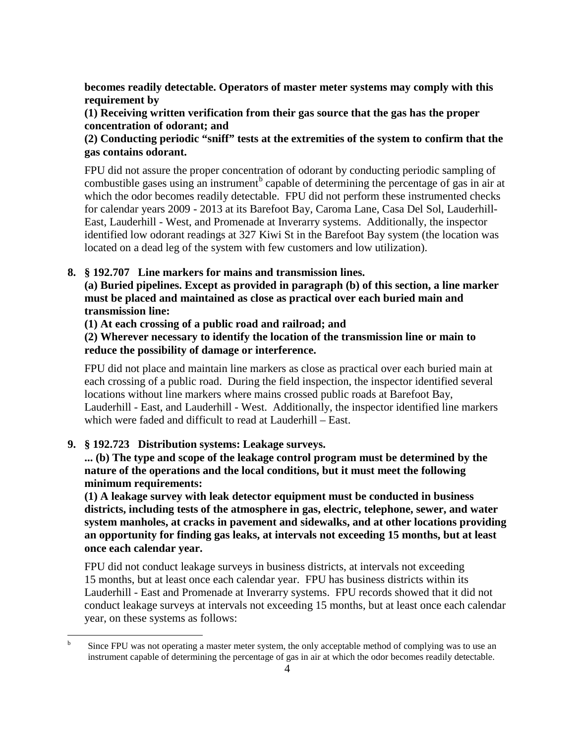**becomes readily detectable. Operators of master meter systems may comply with this requirement by**

**(1) Receiving written verification from their gas source that the gas has the proper concentration of odorant; and** 

# **(2) Conducting periodic "sniff" tests at the extremities of the system to confirm that the gas contains odorant.**

FPU did not assure the proper concentration of odorant by conducting periodic sampling of combustible gases using an instrument<sup>b</sup> capable of determining the percentage of gas in air at which the odor becomes readily detectable. FPU did not perform these instrumented checks for calendar years 2009 - 2013 at its Barefoot Bay, Caroma Lane, Casa Del Sol, Lauderhill-East, Lauderhill - West, and Promenade at Inverarry systems. Additionally, the inspector identified low odorant readings at 327 Kiwi St in the Barefoot Bay system (the location was located on a dead leg of the system with few customers and low utilization).

# **8. § 192.707 Line markers for mains and transmission lines.**

**(a) Buried pipelines. Except as provided in paragraph (b) of this section, a line marker must be placed and maintained as close as practical over each buried main and transmission line:**

**(1) At each crossing of a public road and railroad; and** 

**(2) Wherever necessary to identify the location of the transmission line or main to reduce the possibility of damage or interference.**

FPU did not place and maintain line markers as close as practical over each buried main at each crossing of a public road. During the field inspection, the inspector identified several locations without line markers where mains crossed public roads at Barefoot Bay, Lauderhill - East, and Lauderhill - West. Additionally, the inspector identified line markers which were faded and difficult to read at Lauderhill – East.

# **9. § 192.723 Distribution systems: Leakage surveys.**

**... (b) The type and scope of the leakage control program must be determined by the nature of the operations and the local conditions, but it must meet the following minimum requirements:**

**(1) A leakage survey with leak detector equipment must be conducted in business districts, including tests of the atmosphere in gas, electric, telephone, sewer, and water system manholes, at cracks in pavement and sidewalks, and at other locations providing an opportunity for finding gas leaks, at intervals not exceeding 15 months, but at least once each calendar year.**

FPU did not conduct leakage surveys in business districts, at intervals not exceeding 15 months, but at least once each calendar year. FPU has business districts within its Lauderhill - East and Promenade at Inverarry systems. FPU records showed that it did not conduct leakage surveys at intervals not exceeding 15 months, but at least once each calendar year, on these systems as follows:

<sup>|&</sup>lt;br>b Since FPU was not operating a master meter system, the only acceptable method of complying was to use an instrument capable of determining the percentage of gas in air at which the odor becomes readily detectable.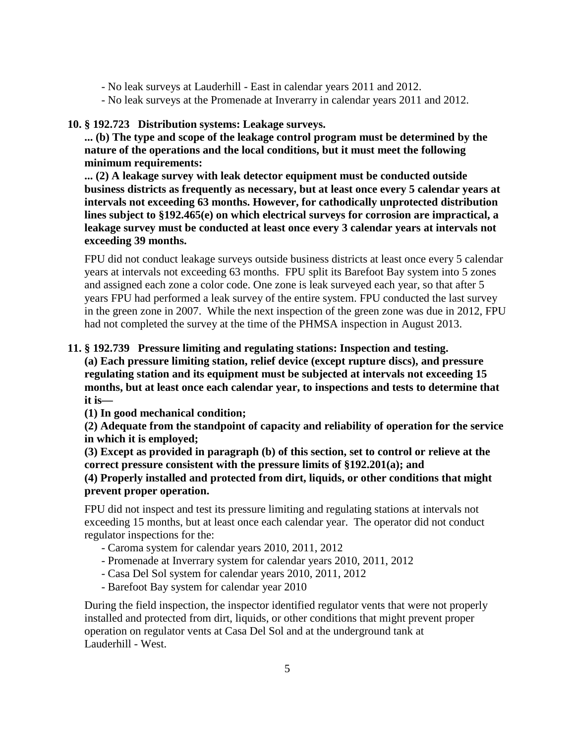- No leak surveys at Lauderhill East in calendar years 2011 and 2012.
- No leak surveys at the Promenade at Inverarry in calendar years 2011 and 2012.

### **10. § 192.723 Distribution systems: Leakage surveys.**

**... (b) The type and scope of the leakage control program must be determined by the nature of the operations and the local conditions, but it must meet the following minimum requirements:**

**... (2) A leakage survey with leak detector equipment must be conducted outside business districts as frequently as necessary, but at least once every 5 calendar years at intervals not exceeding 63 months. However, for cathodically unprotected distribution lines subject to §192.465(e) on which electrical surveys for corrosion are impractical, a leakage survey must be conducted at least once every 3 calendar years at intervals not exceeding 39 months.** 

FPU did not conduct leakage surveys outside business districts at least once every 5 calendar years at intervals not exceeding 63 months. FPU split its Barefoot Bay system into 5 zones and assigned each zone a color code. One zone is leak surveyed each year, so that after 5 years FPU had performed a leak survey of the entire system. FPU conducted the last survey in the green zone in 2007. While the next inspection of the green zone was due in 2012, FPU had not completed the survey at the time of the PHMSA inspection in August 2013.

### **11. § 192.739 Pressure limiting and regulating stations: Inspection and testing.**

**(a) Each pressure limiting station, relief device (except rupture discs), and pressure regulating station and its equipment must be subjected at intervals not exceeding 15 months, but at least once each calendar year, to inspections and tests to determine that it is—** 

**(1) In good mechanical condition;** 

**(2) Adequate from the standpoint of capacity and reliability of operation for the service in which it is employed;**

**(3) Except as provided in paragraph (b) of this section, set to control or relieve at the correct pressure consistent with the pressure limits of §192.201(a); and**

### **(4) Properly installed and protected from dirt, liquids, or other conditions that might prevent proper operation.**

FPU did not inspect and test its pressure limiting and regulating stations at intervals not exceeding 15 months, but at least once each calendar year. The operator did not conduct regulator inspections for the:

- Caroma system for calendar years 2010, 2011, 2012
- Promenade at Inverrary system for calendar years 2010, 2011, 2012
- Casa Del Sol system for calendar years 2010, 2011, 2012
- Barefoot Bay system for calendar year 2010

During the field inspection, the inspector identified regulator vents that were not properly installed and protected from dirt, liquids, or other conditions that might prevent proper operation on regulator vents at Casa Del Sol and at the underground tank at Lauderhill - West.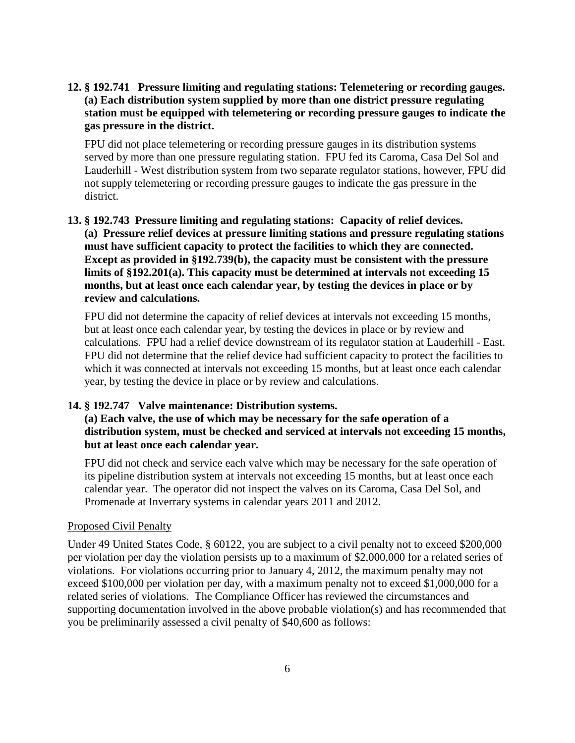**12. § 192.741 Pressure limiting and regulating stations: Telemetering or recording gauges. (a) Each distribution system supplied by more than one district pressure regulating station must be equipped with telemetering or recording pressure gauges to indicate the gas pressure in the district.**

FPU did not place telemetering or recording pressure gauges in its distribution systems served by more than one pressure regulating station. FPU fed its Caroma, Casa Del Sol and Lauderhill - West distribution system from two separate regulator stations, however, FPU did not supply telemetering or recording pressure gauges to indicate the gas pressure in the district.

# **13. § 192.743 Pressure limiting and regulating stations: Capacity of relief devices. (a) Pressure relief devices at pressure limiting stations and pressure regulating stations must have sufficient capacity to protect the facilities to which they are connected. Except as provided in §192.739(b), the capacity must be consistent with the pressure limits of §192.201(a). This capacity must be determined at intervals not exceeding 15 months, but at least once each calendar year, by testing the devices in place or by review and calculations.**

FPU did not determine the capacity of relief devices at intervals not exceeding 15 months, but at least once each calendar year, by testing the devices in place or by review and calculations. FPU had a relief device downstream of its regulator station at Lauderhill - East. FPU did not determine that the relief device had sufficient capacity to protect the facilities to which it was connected at intervals not exceeding 15 months, but at least once each calendar year, by testing the device in place or by review and calculations.

#### **14. § 192.747 Valve maintenance: Distribution systems.**

# **(a) Each valve, the use of which may be necessary for the safe operation of a distribution system, must be checked and serviced at intervals not exceeding 15 months, but at least once each calendar year.**

FPU did not check and service each valve which may be necessary for the safe operation of its pipeline distribution system at intervals not exceeding 15 months, but at least once each calendar year. The operator did not inspect the valves on its Caroma, Casa Del Sol, and Promenade at Inverrary systems in calendar years 2011 and 2012.

### Proposed Civil Penalty

Under 49 United States Code, § 60122, you are subject to a civil penalty not to exceed \$200,000 per violation per day the violation persists up to a maximum of \$2,000,000 for a related series of violations. For violations occurring prior to January 4, 2012, the maximum penalty may not exceed \$100,000 per violation per day, with a maximum penalty not to exceed \$1,000,000 for a related series of violations. The Compliance Officer has reviewed the circumstances and supporting documentation involved in the above probable violation(s) and has recommended that you be preliminarily assessed a civil penalty of \$40,600 as follows: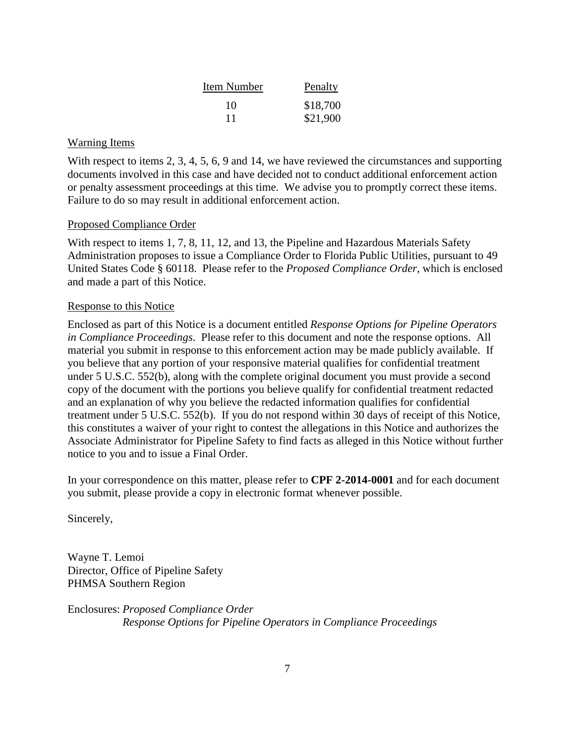| Item Number | Penalty  |
|-------------|----------|
| 10          | \$18,700 |
|             | \$21,900 |

#### Warning Items

With respect to items 2, 3, 4, 5, 6, 9 and 14, we have reviewed the circumstances and supporting documents involved in this case and have decided not to conduct additional enforcement action or penalty assessment proceedings at this time. We advise you to promptly correct these items. Failure to do so may result in additional enforcement action.

#### Proposed Compliance Order

With respect to items 1, 7, 8, 11, 12, and 13, the Pipeline and Hazardous Materials Safety Administration proposes to issue a Compliance Order to Florida Public Utilities, pursuant to 49 United States Code § 60118. Please refer to the *Proposed Compliance Order*, which is enclosed and made a part of this Notice.

#### Response to this Notice

Enclosed as part of this Notice is a document entitled *Response Options for Pipeline Operators in Compliance Proceedings*. Please refer to this document and note the response options. All material you submit in response to this enforcement action may be made publicly available. If you believe that any portion of your responsive material qualifies for confidential treatment under 5 U.S.C. 552(b), along with the complete original document you must provide a second copy of the document with the portions you believe qualify for confidential treatment redacted and an explanation of why you believe the redacted information qualifies for confidential treatment under 5 U.S.C. 552(b). If you do not respond within 30 days of receipt of this Notice, this constitutes a waiver of your right to contest the allegations in this Notice and authorizes the Associate Administrator for Pipeline Safety to find facts as alleged in this Notice without further notice to you and to issue a Final Order.

In your correspondence on this matter, please refer to **CPF 2-2014-0001** and for each document you submit, please provide a copy in electronic format whenever possible.

Sincerely,

Wayne T. Lemoi Director, Office of Pipeline Safety PHMSA Southern Region

Enclosures: *Proposed Compliance Order Response Options for Pipeline Operators in Compliance Proceedings*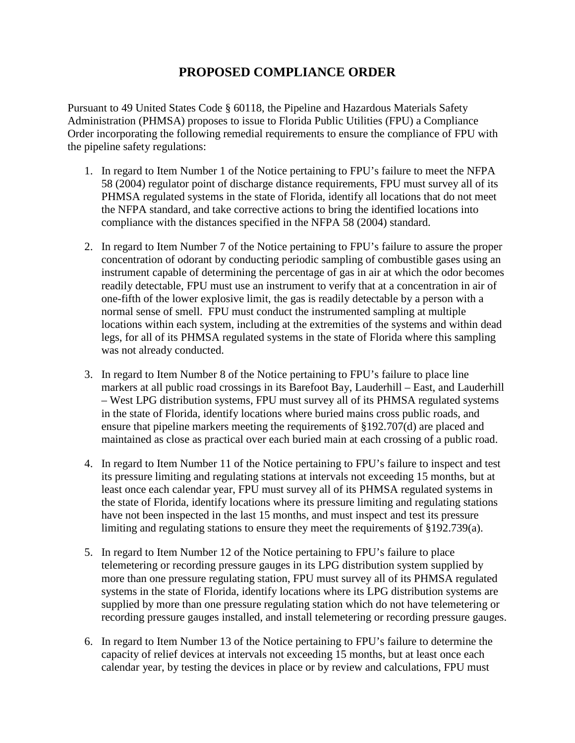# **PROPOSED COMPLIANCE ORDER**

Pursuant to 49 United States Code § 60118, the Pipeline and Hazardous Materials Safety Administration (PHMSA) proposes to issue to Florida Public Utilities (FPU) a Compliance Order incorporating the following remedial requirements to ensure the compliance of FPU with the pipeline safety regulations:

- 1. In regard to Item Number 1 of the Notice pertaining to FPU's failure to meet the NFPA 58 (2004) regulator point of discharge distance requirements, FPU must survey all of its PHMSA regulated systems in the state of Florida, identify all locations that do not meet the NFPA standard, and take corrective actions to bring the identified locations into compliance with the distances specified in the NFPA 58 (2004) standard.
- 2. In regard to Item Number 7 of the Notice pertaining to FPU's failure to assure the proper concentration of odorant by conducting periodic sampling of combustible gases using an instrument capable of determining the percentage of gas in air at which the odor becomes readily detectable, FPU must use an instrument to verify that at a concentration in air of one-fifth of the lower explosive limit, the gas is readily detectable by a person with a normal sense of smell. FPU must conduct the instrumented sampling at multiple locations within each system, including at the extremities of the systems and within dead legs, for all of its PHMSA regulated systems in the state of Florida where this sampling was not already conducted.
- 3. In regard to Item Number 8 of the Notice pertaining to FPU's failure to place line markers at all public road crossings in its Barefoot Bay, Lauderhill – East, and Lauderhill – West LPG distribution systems, FPU must survey all of its PHMSA regulated systems in the state of Florida, identify locations where buried mains cross public roads, and ensure that pipeline markers meeting the requirements of §192.707(d) are placed and maintained as close as practical over each buried main at each crossing of a public road.
- 4. In regard to Item Number 11 of the Notice pertaining to FPU's failure to inspect and test its pressure limiting and regulating stations at intervals not exceeding 15 months, but at least once each calendar year, FPU must survey all of its PHMSA regulated systems in the state of Florida, identify locations where its pressure limiting and regulating stations have not been inspected in the last 15 months, and must inspect and test its pressure limiting and regulating stations to ensure they meet the requirements of §192.739(a).
- 5. In regard to Item Number 12 of the Notice pertaining to FPU's failure to place telemetering or recording pressure gauges in its LPG distribution system supplied by more than one pressure regulating station, FPU must survey all of its PHMSA regulated systems in the state of Florida, identify locations where its LPG distribution systems are supplied by more than one pressure regulating station which do not have telemetering or recording pressure gauges installed, and install telemetering or recording pressure gauges.
- 6. In regard to Item Number 13 of the Notice pertaining to FPU's failure to determine the capacity of relief devices at intervals not exceeding 15 months, but at least once each calendar year, by testing the devices in place or by review and calculations, FPU must